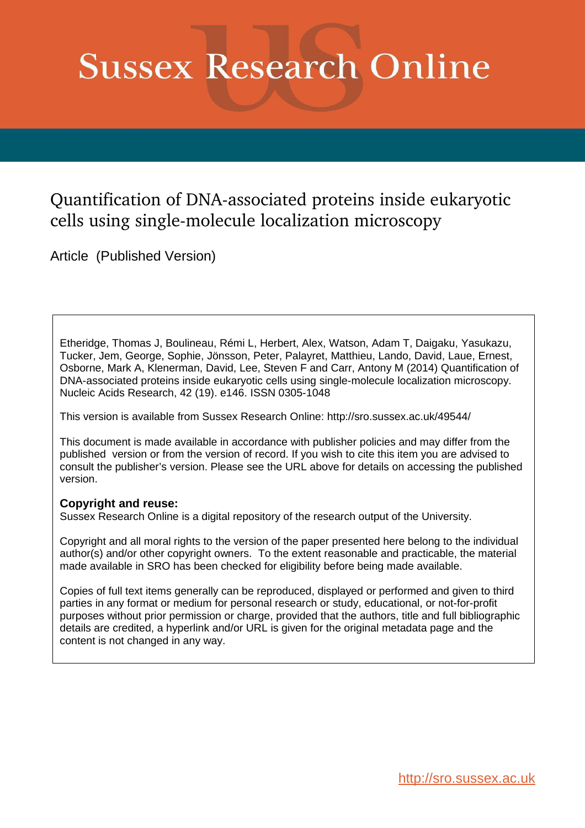# **Sussex Research Online**

# Quantification of DNA-associated proteins inside eukaryotic cells using single-molecule localization microscopy

Article (Published Version)

Etheridge, Thomas J, Boulineau, Rémi L, Herbert, Alex, Watson, Adam T, Daigaku, Yasukazu, Tucker, Jem, George, Sophie, Jönsson, Peter, Palayret, Matthieu, Lando, David, Laue, Ernest, Osborne, Mark A, Klenerman, David, Lee, Steven F and Carr, Antony M (2014) Quantification of DNA-associated proteins inside eukaryotic cells using single-molecule localization microscopy. Nucleic Acids Research, 42 (19). e146. ISSN 0305-1048

This version is available from Sussex Research Online: http://sro.sussex.ac.uk/49544/

This document is made available in accordance with publisher policies and may differ from the published version or from the version of record. If you wish to cite this item you are advised to consult the publisher's version. Please see the URL above for details on accessing the published version.

# **Copyright and reuse:**

Sussex Research Online is a digital repository of the research output of the University.

Copyright and all moral rights to the version of the paper presented here belong to the individual author(s) and/or other copyright owners. To the extent reasonable and practicable, the material made available in SRO has been checked for eligibility before being made available.

Copies of full text items generally can be reproduced, displayed or performed and given to third parties in any format or medium for personal research or study, educational, or not-for-profit purposes without prior permission or charge, provided that the authors, title and full bibliographic details are credited, a hyperlink and/or URL is given for the original metadata page and the content is not changed in any way.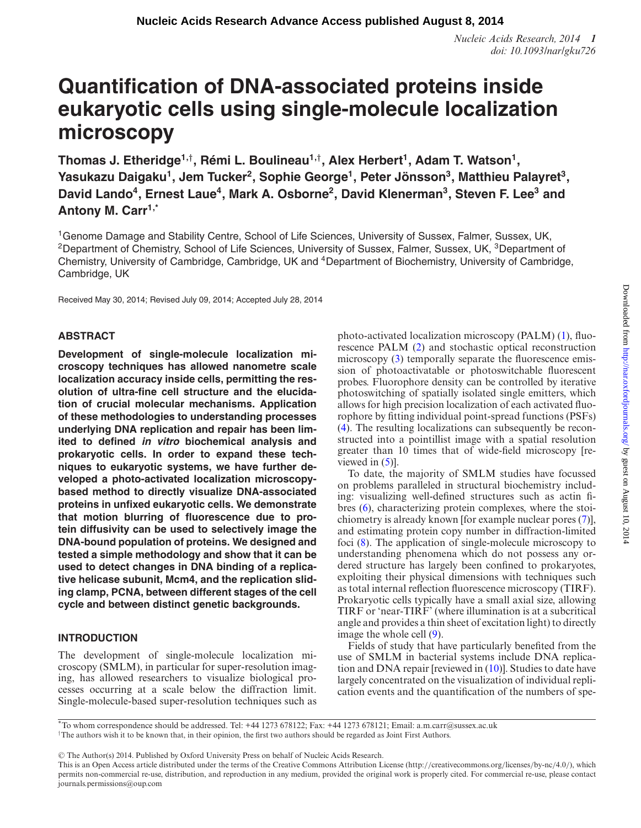*Nucleic Acids Research, 2014* **1** *doi: 10.1093/nar/gku726*

# **Quantification of DNA-associated proteins inside eukaryotic cells using single-molecule localization microscopy**

**Thomas J. Etheridge1,**† **, Remi L. Boulineau ´ 1,**† **, Alex Herbert<sup>1</sup> , Adam T. Watson<sup>1</sup> , Yasukazu Daigaku<sup>1</sup> , Jem Tucker<sup>2</sup> , Sophie George<sup>1</sup> , Peter Jonsson ¨ 3 , Matthieu Palayret<sup>3</sup> , David Lando<sup>4</sup> , Ernest Laue<sup>4</sup> , Mark A. Osborne<sup>2</sup> , David Klenerman<sup>3</sup> , Steven F. Lee<sup>3</sup> and Antony M. Carr1,\***

<sup>1</sup>Genome Damage and Stability Centre, School of Life Sciences, University of Sussex, Falmer, Sussex, UK, <sup>2</sup>Department of Chemistry, School of Life Sciences, University of Sussex, Falmer, Sussex, UK, <sup>3</sup>Department of Chemistry, University of Cambridge, Cambridge, UK and <sup>4</sup>Department of Biochemistry, University of Cambridge, Cambridge, UK

Received May 30, 2014; Revised July 09, 2014; Accepted July 28, 2014

# **ABSTRACT**

**Development of single-molecule localization microscopy techniques has allowed nanometre scale localization accuracy inside cells, permitting the resolution of ultra-fine cell structure and the elucidation of crucial molecular mechanisms. Application of these methodologies to understanding processes underlying DNA replication and repair has been limited to defined in vitro biochemical analysis and prokaryotic cells. In order to expand these techniques to eukaryotic systems, we have further developed a photo-activated localization microscopybased method to directly visualize DNA-associated proteins in unfixed eukaryotic cells. We demonstrate that motion blurring of fluorescence due to protein diffusivity can be used to selectively image the DNA-bound population of proteins. We designed and tested a simple methodology and show that it can be used to detect changes in DNA binding of a replicative helicase subunit, Mcm4, and the replication sliding clamp, PCNA, between different stages of the cell cycle and between distinct genetic backgrounds.**

# **INTRODUCTION**

The development of single-molecule localization microscopy (SMLM), in particular for super-resolution imaging, has allowed researchers to visualize biological processes occurring at a scale below the diffraction limit. Single-molecule-based super-resolution techniques such as photo-activated localization microscopy (PALM) [\(1\)](#page-9-0), fluorescence PALM [\(2\)](#page-9-0) and stochastic optical reconstruction microscopy [\(3\)](#page-9-0) temporally separate the fluorescence emission of photoactivatable or photoswitchable fluorescent probes. Fluorophore density can be controlled by iterative photoswitching of spatially isolated single emitters, which allows for high precision localization of each activated fluorophore by itting individual point-spread functions (PSFs) [\(4\)](#page-9-0). The resulting localizations can subsequently be reconstructed into a pointillist image with a spatial resolution greater than 10 times that of wide-ield microscopy [reviewed in  $(5)$ ].

To date, the majority of SMLM studies have focussed on problems paralleled in structural biochemistry including: visualizing well-defined structures such as actin fibres [\(6\)](#page-9-0), characterizing protein complexes, where the stoichiometry is already known [for example nuclear pores [\(7\)](#page-9-0)], and estimating protein copy number in diffraction-limited foci [\(8\)](#page-9-0). The application of single-molecule microscopy to understanding phenomena which do not possess any ordered structure has largely been confined to prokaryotes, exploiting their physical dimensions with techniques such as total internal reflection fluorescence microscopy (TIRF). Prokaryotic cells typically have a small axial size, allowing TIRF or 'near-TIRF' (where illumination is at a subcritical angle and provides a thin sheet of excitation light) to directly image the whole cell [\(9\)](#page-9-0).

Fields of study that have particularly benefited from the use of SMLM in bacterial systems include DNA replication and DNA repair [reviewed in [\(10\)](#page-9-0)]. Studies to date have largely concentrated on the visualization of individual replication events and the quantification of the numbers of spe-

-<sup>C</sup> The Author(s) 2014. Published by Oxford University Press on behalf of Nucleic Acids Research.

<sup>\*</sup>To whom correspondence should be addressed. Tel: +44 1273 678122; Fax: +44 1273 678121; Email: a.m.carr@sussex.ac.uk †The authors wish it to be known that, in their opinion, the irst two authors should be regarded as Joint First Authors.

This is an Open Access article distributed under the terms of the Creative Commons Attribution License (http://creativecommons.org/licenses/by-nc/4.0/), which permits non-commercial re-use, distribution, and reproduction in any medium, provided the original work is properly cited. For commercial re-use, please contact journals.permissions@oup.com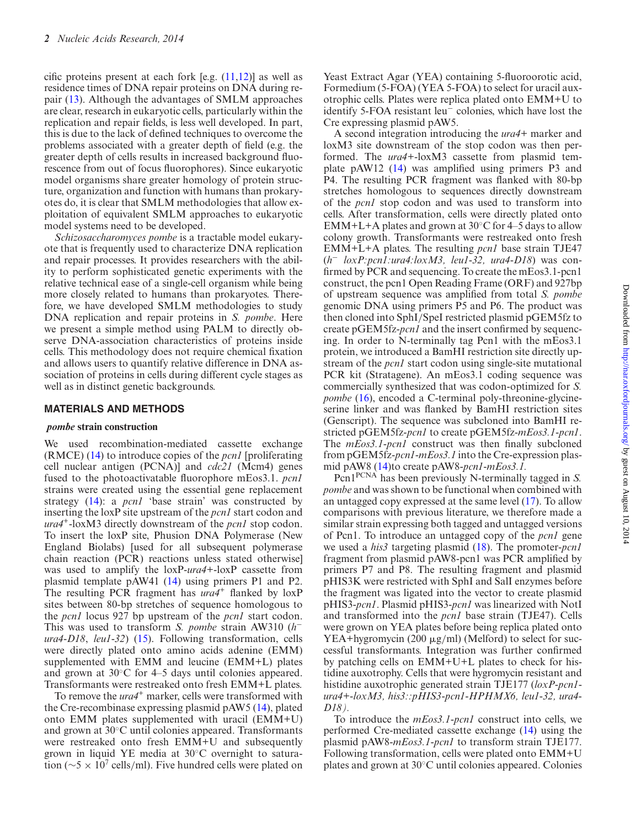cific proteins present at each fork [e.g.  $(11,12)$ ] as well as residence times of DNA repair proteins on DNA during repair [\(13\)](#page-9-0). Although the advantages of SMLM approaches are clear, research in eukaryotic cells, particularly within the replication and repair fields, is less well developed. In part, this is due to the lack of deined techniques to overcome the problems associated with a greater depth of ield (e.g. the greater depth of cells results in increased background fluorescence from out of focus fluorophores). Since eukaryotic model organisms share greater homology of protein structure, organization and function with humans than prokaryotes do, it is clear that SMLM methodologies that allow exploitation of equivalent SMLM approaches to eukaryotic model systems need to be developed.

*Schizosaccharomyces pombe* is a tractable model eukaryote that is frequently used to characterize DNA replication and repair processes. It provides researchers with the ability to perform sophisticated genetic experiments with the relative technical ease of a single-cell organism while being more closely related to humans than prokaryotes. Therefore, we have developed SMLM methodologies to study DNA replication and repair proteins in *S. pombe*. Here we present a simple method using PALM to directly observe DNA-association characteristics of proteins inside cells. This methodology does not require chemical fixation and allows users to quantify relative difference in DNA association of proteins in cells during different cycle stages as well as in distinct genetic backgrounds.

#### **MATERIALS AND METHODS**

#### **pombe strain construction**

We used recombination-mediated cassette exchange (RMCE) [\(14\)](#page-9-0) to introduce copies of the *pcn1* [proliferating cell nuclear antigen (PCNA)] and *cdc21* (Mcm4) genes fused to the photoactivatable luorophore mEos3.1. *pcn1* strains were created using the essential gene replacement strategy [\(14\)](#page-9-0): a *pcn1* 'base strain' was constructed by inserting the loxP site upstream of the *pcn1* start codon and *ura4*<sup>+</sup> -loxM3 directly downstream of the *pcn1* stop codon. To insert the loxP site, Phusion DNA Polymerase (New England Biolabs) [used for all subsequent polymerase chain reaction (PCR) reactions unless stated otherwise] was used to amplify the loxP-*ura4+*-loxP cassette from plasmid template pAW41 [\(14\)](#page-9-0) using primers P1 and P2. The resulting PCR fragment has *ura4*<sup>+</sup> flanked by loxP sites between 80-bp stretches of sequence homologous to the *pcn1* locus 927 bp upstream of the *pcn1* start codon. This was used to transform *S. pombe* strain AW310 (*h* − *ura4-D18*, *leu1-32*) [\(15\)](#page-9-0). Following transformation, cells were directly plated onto amino acids adenine (EMM) supplemented with EMM and leucine (EMM+L) plates and grown at 30◦C for 4–5 days until colonies appeared. Transformants were restreaked onto fresh EMM+L plates.

To remove the *ura4*<sup>+</sup> marker, cells were transformed with the Cre-recombinase expressing plasmid pAW5 [\(14\)](#page-9-0), plated onto EMM plates supplemented with uracil (EMM+U) and grown at 30◦C until colonies appeared. Transformants were restreaked onto fresh EMM+U and subsequently grown in liquid YE media at 30◦C overnight to saturation ( $\sim$ 5 × 10<sup>7</sup> cells/ml). Five hundred cells were plated on

Yeast Extract Agar (YEA) containing 5-fluoroorotic acid, Formedium (5-FOA) (YEA 5-FOA) to select for uracil auxotrophic cells. Plates were replica plated onto EMM+U to identify 5-FOA resistant leu<sup>−</sup> colonies, which have lost the Cre expressing plasmid pAW5.

A second integration introducing the *ura4+* marker and loxM3 site downstream of the stop codon was then performed. The *ura4+*-loxM3 cassette from plasmid template pAW12  $(14)$  was amplified using primers P3 and P4. The resulting PCR fragment was flanked with 80-bp stretches homologous to sequences directly downstream of the *pcn1* stop codon and was used to transform into cells. After transformation, cells were directly plated onto EMM+L+A plates and grown at  $30^{\circ}$ C for 4–5 days to allow colony growth. Transformants were restreaked onto fresh EMM+L+A plates. The resulting *pcn1* base strain TJE47 (*h* <sup>−</sup> *loxP:pcn1:ura4:loxM3, leu1-32, ura4-D18*) was confirmed by PCR and sequencing. To create the mEos3.1-pcn1 construct, the pcn1 Open Reading Frame (ORF) and 927bp of upstream sequence was ampliied from total *S. pombe* genomic DNA using primers P5 and P6. The product was then cloned into SphI/SpeI restricted plasmid pGEM5fz to create pGEM5fz-*pcn1* and the insert confirmed by sequencing. In order to N-terminally tag Pcn1 with the mEos3.1 protein, we introduced a BamHI restriction site directly upstream of the *pcn1* start codon using single-site mutational PCR kit (Stratagene). An mEos3.1 coding sequence was commercially synthesized that was codon-optimized for *S. pombe* [\(16\)](#page-9-0), encoded a C-terminal poly-threonine-glycineserine linker and was flanked by BamHI restriction sites (Genscript). The sequence was subcloned into BamHI restricted pGEM5fz-*pcn1* to create pGEM5fz-*mEos3.1-pcn1*. The  $mEos3.1$ -pcn1 construct was then finally subcloned from pGEM5fz-*pcn1-mEos3.1* into the Cre-expression plasmid pAW8 [\(14\)](#page-9-0)to create pAW8-*pcn1-mEos3.1.*

Pcn1PCNA has been previously N-terminally tagged in *S. pombe* and was shown to be functional when combined with an untagged copy expressed at the same level [\(17\)](#page-9-0). To allow comparisons with previous literature, we therefore made a similar strain expressing both tagged and untagged versions of Pcn1. To introduce an untagged copy of the *pcn1* gene we used a *his3* targeting plasmid [\(18\)](#page-9-0). The promoter-*pcn1* fragment from plasmid pAW8-pcn1 was PCR amplified by primers P7 and P8. The resulting fragment and plasmid pHIS3K were restricted with SphI and SalI enzymes before the fragment was ligated into the vector to create plasmid pHIS3-*pcn1*. Plasmid pHIS3-*pcn1* was linearized with NotI and transformed into the *pcn1* base strain (TJE47). Cells were grown on YEA plates before being replica plated onto YEA+hygromycin (200  $\mu$ g/ml) (Melford) to select for successful transformants. Integration was further conirmed by patching cells on EMM+U+L plates to check for histidine auxotrophy. Cells that were hygromycin resistant and histidine auxotrophic generated strain TJE177 (*loxP-pcn1 ura4+-loxM3, his3::pHIS3-pcn1-HPHMX6, leu1-32, ura4- D18).*

To introduce the *mEos3.1-pcn1* construct into cells, we performed Cre-mediated cassette exchange [\(14\)](#page-9-0) using the plasmid pAW8-*mEos3.1-pcn1* to transform strain TJE177. Following transformation, cells were plated onto EMM+U plates and grown at 30◦C until colonies appeared. Colonies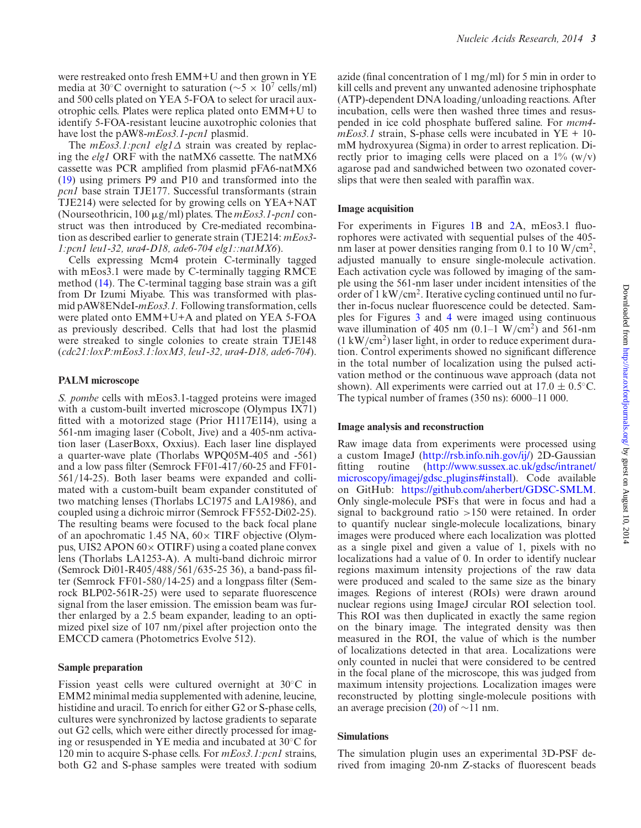<span id="page-3-0"></span>were restreaked onto fresh EMM+U and then grown in YE media at 30°C overnight to saturation ( $\sim$ 5 × 10<sup>7</sup> cells/ml) and 500 cells plated on YEA 5-FOA to select for uracil auxotrophic cells. Plates were replica plated onto EMM+U to identify 5-FOA-resistant leucine auxotrophic colonies that have lost the pAW8-*mEos3.1-pcn1* plasmid.

The *mEos3.1:pcn1 elg1*Δ strain was created by replacing the *elg1* ORF with the natMX6 cassette. The natMX6 cassette was PCR ampliied from plasmid pFA6-natMX6 [\(19\)](#page-9-0) using primers P9 and P10 and transformed into the *pcn1* base strain TJE177. Successful transformants (strain TJE214) were selected for by growing cells on YEA+NAT (Nourseothricin, 100 μg/ml) plates. The *mEos3.1-pcn1* construct was then introduced by Cre-mediated recombination as described earlier to generate strain (TJE214: *mEos3- 1:pcn1 leu1-32, ura4-D18, ade6-704 elg1::natMX6*).

Cells expressing Mcm4 protein C-terminally tagged with mEos3.1 were made by C-terminally tagging RMCE method [\(14\)](#page-9-0). The C-terminal tagging base strain was a gift from Dr Izumi Miyabe. This was transformed with plasmid pAW8ENdeI-*mEos3.1.* Following transformation, cells were plated onto EMM+U+A and plated on YEA 5-FOA as previously described. Cells that had lost the plasmid were streaked to single colonies to create strain TJE148 (*cdc21:loxP:mEos3.1:loxM3, leu1-32, ura4-D18, ade6-704*).

# **PALM microscope**

*S. pombe* cells with mEos3.1-tagged proteins were imaged with a custom-built inverted microscope (Olympus IX71) fitted with a motorized stage (Prior H117E1I4), using a 561-nm imaging laser (Cobolt, Jive) and a 405-nm activation laser (LaserBoxx, Oxxius). Each laser line displayed a quarter-wave plate (Thorlabs WPQ05M-405 and -561) and a low pass ilter (Semrock FF01-417/60-25 and FF01- 561/14-25). Both laser beams were expanded and collimated with a custom-built beam expander constituted of two matching lenses (Thorlabs LC1975 and LA1986), and coupled using a dichroic mirror (Semrock FF552-Di02-25). The resulting beams were focused to the back focal plane of an apochromatic 1.45 NA,  $60 \times$  TIRF objective (Olympus, UIS2 APON  $60 \times$  OTIRF) using a coated plane convex lens (Thorlabs LA1253-A). A multi-band dichroic mirror (Semrock Di01-R405/488/561/635-25 36), a band-pass ilter (Semrock FF01-580/14-25) and a longpass ilter (Semrock BLP02-561R-25) were used to separate fluorescence signal from the laser emission. The emission beam was further enlarged by a 2.5 beam expander, leading to an optimized pixel size of 107 nm/pixel after projection onto the EMCCD camera (Photometrics Evolve 512).

# **Sample preparation**

Fission yeast cells were cultured overnight at 30◦C in EMM2 minimal media supplemented with adenine, leucine, histidine and uracil. To enrich for either G2 or S-phase cells, cultures were synchronized by lactose gradients to separate out G2 cells, which were either directly processed for imaging or resuspended in YE media and incubated at 30◦C for 120 min to acquire S-phase cells. For *mEos3.1:pcn1* strains, both G2 and S-phase samples were treated with sodium

azide (final concentration of  $1 \text{ mg/ml}$ ) for 5 min in order to kill cells and prevent any unwanted adenosine triphosphate (ATP)-dependent DNA loading/unloading reactions. After incubation, cells were then washed three times and resuspended in ice cold phosphate buffered saline. For *mcm4 mEos3.1* strain, S-phase cells were incubated in YE + 10 mM hydroxyurea (Sigma) in order to arrest replication. Directly prior to imaging cells were placed on a  $1\%$  (w/v) agarose pad and sandwiched between two ozonated coverslips that were then sealed with parafin wax.

# **Image acquisition**

For experiments in Figures 1B and [2A](#page-4-0), mEos3.1 fluorophores were activated with sequential pulses of the 405 nm laser at power densities ranging from 0.1 to 10 W/cm<sup>2</sup>, adjusted manually to ensure single-molecule activation. Each activation cycle was followed by imaging of the sample using the 561-nm laser under incident intensities of the order of 1 kW/cm<sup>2</sup>. Iterative cycling continued until no further in-focus nuclear fluorescence could be detected. Samples for Figures [3](#page-5-0) and [4](#page-6-0) were imaged using continuous wave illumination of 405 nm  $(0.1-1 \text{ W/cm}^2)$  and 561-nm  $(1 \text{ kW/cm}^2)$  laser light, in order to reduce experiment duration. Control experiments showed no significant difference in the total number of localization using the pulsed activation method or the continuous wave approach (data not shown). All experiments were carried out at  $17.0 \pm 0.5$ °C. The typical number of frames (350 ns): 6000–11 000.

# **Image analysis and reconstruction**

Raw image data from experiments were processed using a custom ImageJ [\(http://rsb.info.nih.gov/ij/\)](http://rsb.info.nih.gov/ij/) 2D-Gaussian f[itting routine \(http://www.sussex.ac.uk/gdsc/intranet/](http://www.sussex.ac.uk/gdsc/intranet/microscopy/imagej/gdsc_plugins#install) microscopy/imagej/gdsc plugins#install). Code available on GitHub: [https://github.com/aherbert/GDSC-SMLM.](https://github.com/aherbert/GDSC-SMLM) Only single-molecule PSFs that were in focus and had a signal to background ratio >150 were retained. In order to quantify nuclear single-molecule localizations, binary images were produced where each localization was plotted as a single pixel and given a value of 1, pixels with no localizations had a value of 0. In order to identify nuclear regions maximum intensity projections of the raw data were produced and scaled to the same size as the binary images. Regions of interest (ROIs) were drawn around nuclear regions using ImageJ circular ROI selection tool. This ROI was then duplicated in exactly the same region on the binary image. The integrated density was then measured in the ROI, the value of which is the number of localizations detected in that area. Localizations were only counted in nuclei that were considered to be centred in the focal plane of the microscope, this was judged from maximum intensity projections. Localization images were reconstructed by plotting single-molecule positions with an average precision [\(20\)](#page-10-0) of  $\sim$ 11 nm.

# **Simulations**

The simulation plugin uses an experimental 3D-PSF derived from imaging 20-nm Z-stacks of fluorescent beads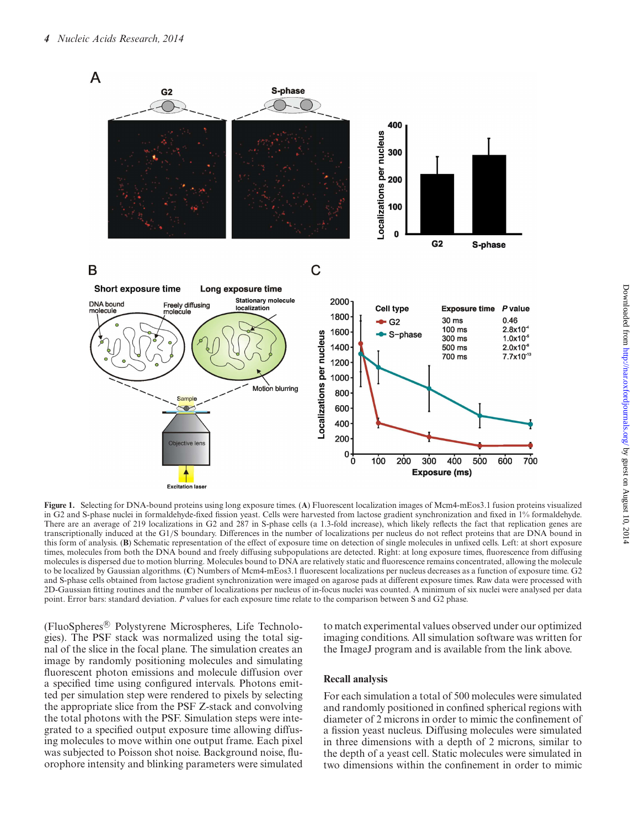<span id="page-4-0"></span>

**Figure 1.** Selecting for DNA-bound proteins using long exposure times. (**A**) Fluorescent localization images of Mcm4-mEos3.1 fusion proteins visualized in G2 and S-phase nuclei in formaldehyde-ixed ission yeast. Cells were harvested from lactose gradient synchronization and ixed in 1% formaldehyde. There are an average of 219 localizations in G2 and 287 in S-phase cells (a 1.3-fold increase), which likely relects the fact that replication genes are transcriptionally induced at the G1/S boundary. Differences in the number of localizations per nucleus do not relect proteins that are DNA bound in this form of analysis. (**B**) Schematic representation of the effect of exposure time on detection of single molecules in unixed cells. Left: at short exposure times, molecules from both the DNA bound and freely diffusing subpopulations are detected. Right: at long exposure times, luorescence from diffusing molecules is dispersed due to motion blurring. Molecules bound to DNA are relatively static and fluorescence remains concentrated, allowing the molecule to be localized by Gaussian algorithms. (**C**) Numbers of Mcm4-mEos3.1 luorescent localizations per nucleus decreases as a function of exposure time. G2 and S-phase cells obtained from lactose gradient synchronization were imaged on agarose pads at different exposure times. Raw data were processed with 2D-Gaussian itting routines and the number of localizations per nucleus of in-focus nuclei was counted. A minimum of six nuclei were analysed per data point. Error bars: standard deviation. *P* values for each exposure time relate to the comparison between S and G2 phase.

(FluoSpheres® Polystyrene Microspheres, Life Technologies). The PSF stack was normalized using the total signal of the slice in the focal plane. The simulation creates an image by randomly positioning molecules and simulating fluorescent photon emissions and molecule diffusion over a specified time using configured intervals. Photons emitted per simulation step were rendered to pixels by selecting the appropriate slice from the PSF Z-stack and convolving the total photons with the PSF. Simulation steps were integrated to a specified output exposure time allowing diffusing molecules to move within one output frame. Each pixel was subjected to Poisson shot noise. Background noise, fluorophore intensity and blinking parameters were simulated

to match experimental values observed under our optimized imaging conditions. All simulation software was written for the ImageJ program and is available from the link above.

# **Recall analysis**

For each simulation a total of 500 molecules were simulated and randomly positioned in confined spherical regions with diameter of 2 microns in order to mimic the confinement of a fission yeast nucleus. Diffusing molecules were simulated in three dimensions with a depth of 2 microns, similar to the depth of a yeast cell. Static molecules were simulated in two dimensions within the confinement in order to mimic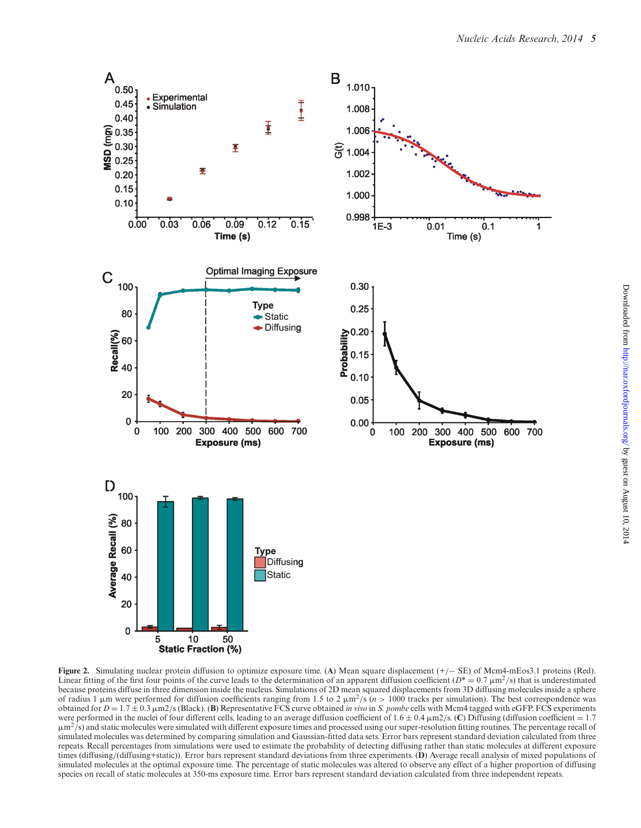<span id="page-5-0"></span>

**Figure 2.** Simulating nuclear protein diffusion to optimize exposure time. (**A**) Mean square displacement (+/− SE) of Mcm4-mEos3.1 proteins (Red). Linear fitting of the first four points of the curve leads to the determination of an apparent diffusion coefficient  $(D^* = 0.7 \mu m^2/s)$  that is underestimated because proteins diffuse in three dimension inside the nucleus. Simulations of 2D mean squared displacements from 3D diffusing molecules inside a sphere of radius 1  $\mu$ m were performed for diffusion coefficients ranging from 1.5 to 2  $\mu$ m<sup>2</sup>/s (*n* > 1000 tracks per simulation). The best correspondence was obtained for  $D = 1.7 \pm 0.3 \mu \text{m}^2/\text{s}$  (Black). (**B**) Representative FCS curve obtained *in vivo* in *S. pombe* cells with Mcm4 tagged with eGFP. FCS experiments were performed in the nuclei of four different cells, leading to an average diffusion coefficient of  $1.6 \pm 0.4 \mu \text{m}^2/\text{s}$ . (**C**) Diffusing (diffusion coefficient =  $1.7 \text{ m}$ )  $\mu$ m<sup>2</sup>/s) and static molecules were simulated with different exposure times and processed using our super-resolution fitting routines. The percentage recall of simulated molecules was determined by comparing simulation and Gaussian-fitted data sets. Error bars represent standard deviation calculated from three repeats. Recall percentages from simulations were used to estimate the probability of detecting diffusing rather than static molecules at different exposure times (diffusing/(diffusing+static)). Error bars represent standard deviations from three experiments. (**D**) Average recall analysis of mixed populations of simulated molecules at the optimal exposure time. The percentage of static molecules was altered to observe any effect of a higher proportion of diffusing species on recall of static molecules at 350-ms exposure time. Error bars represent standard deviation calculated from three independent repeats.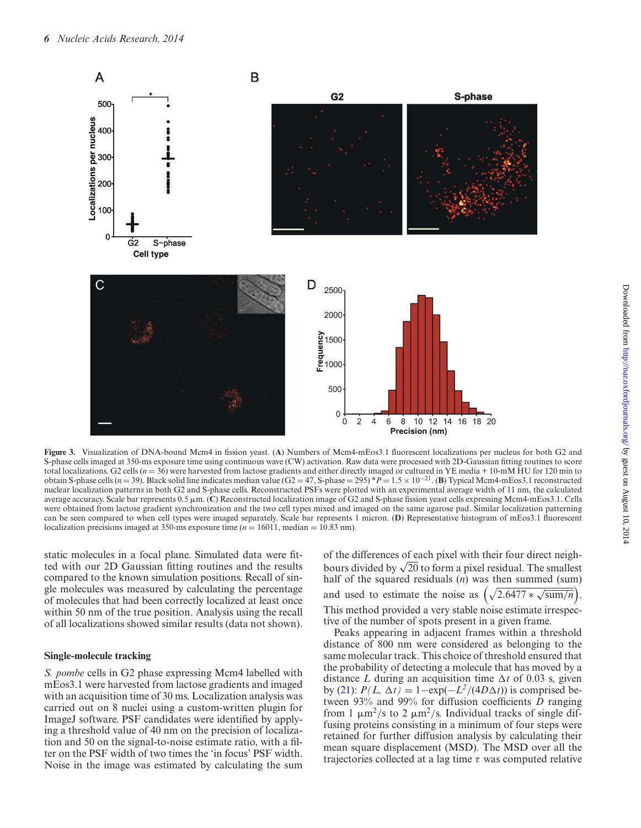<span id="page-6-0"></span>

**Figure 3.** Visualization of DNA-bound Mcm4 in ission yeast. (**A**) Numbers of Mcm4-mEos3.1 luorescent localizations per nucleus for both G2 and S-phase cells imaged at 350-ms exposure time using continuous wave (CW) activation. Raw data were processed with 2D-Gaussian itting routines to score total localizations. G2 cells  $(n = 36)$  were harvested from lactose gradients and either directly imaged or cultured in YE media + 10-mM HU for 120 min to obtain S-phase cells (*<sup>n</sup>* <sup>=</sup> 39). Black solid line indicates median value (G2 <sup>=</sup> 47, S-phase <sup>=</sup> 295) \**<sup>P</sup>* <sup>=</sup> 1.5 <sup>×</sup> <sup>10</sup>−21. (**B**) Typical Mcm4-mEos3.1 reconstructed nuclear localization patterns in both G2 and S-phase cells. Reconstructed PSFs were plotted with an experimental average width of 11 nm, the calculated average accuracy. Scale bar represents 0.5 µm. (C) Reconstructed localization image of G2 and S-phase fission yeast cells expressing Mcm4-mEos3.1. Cells were obtained from lactose gradient synchronization and the two cell types mixed and imaged on the same agarose pad. Similar localization patterning can be seen compared to when cell types were imaged separately. Scale bar represents 1 micron. (D) Representative histogram of mEos3.1 fluorescent localization precisions imaged at 350-ms exposure time  $(n = 16011, \text{ median} = 10.83 \text{ nm})$ .

static molecules in a focal plane. Simulated data were itted with our 2D Gaussian fitting routines and the results compared to the known simulation positions. Recall of single molecules was measured by calculating the percentage of molecules that had been correctly localized at least once within 50 nm of the true position. Analysis using the recall of all localizations showed similar results (data not shown).

#### **Single-molecule tracking**

*S. pombe* cells in G2 phase expressing Mcm4 labelled with mEos3.1 were harvested from lactose gradients and imaged with an acquisition time of 30 ms. Localization analysis was carried out on 8 nuclei using a custom-written plugin for ImageJ software. PSF candidates were identified by applying a threshold value of 40 nm on the precision of localization and 50 on the signal-to-noise estimate ratio, with a filter on the PSF width of two times the 'in focus' PSF width. Noise in the image was estimated by calculating the sum

of the differences of each pixel with their four direct neighbours divided by  $\sqrt{20}$  to form a pixel residual. The smallest half of the squared residuals (*n*) was then summed (sum) and used to estimate the noise as  $(\sqrt{2.6477 \times \sqrt{\text{sum}/n}})$ . This method provided a very stable noise estimate irrespec-

tive of the number of spots present in a given frame.

Peaks appearing in adjacent frames within a threshold distance of 800 nm were considered as belonging to the same molecular track. This choice of threshold ensured that the probability of detecting a molecule that has moved by a distance *L* during an acquisition time  $\Delta t$  of 0.03 s, given by [\(21\)](#page-10-0): *P(L, t)* = 1−exp(−*L 2* /(4*Dt*)) is comprised between 93% and 99% for diffusion coeficients *D* ranging from 1  $\mu$ m<sup>2</sup>/s to 2  $\mu$ m<sup>2</sup>/s. Individual tracks of single diffusing proteins consisting in a minimum of four steps were retained for further diffusion analysis by calculating their mean square displacement (MSD). The MSD over all the trajectories collected at a lag time  $\tau$  was computed relative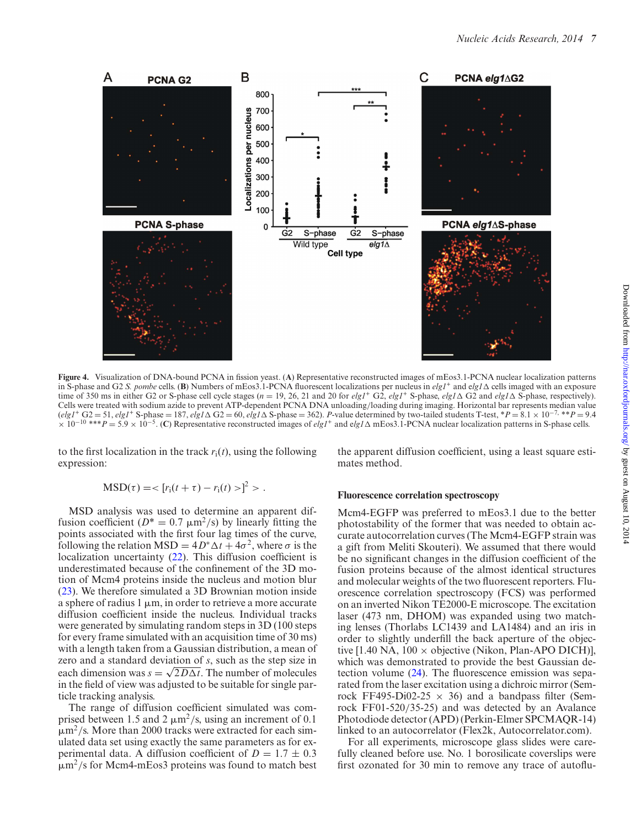

**Figure 4.** Visualization of DNA-bound PCNA in ission yeast. (**A**) Representative reconstructed images of mEos3.1-PCNA nuclear localization patterns in S-phase and G2 *S. pombe* cells. (**B**) Numbers of mEos3.1-PCNA fluorescent localizations per nucleus in  $e/g1^+$  and  $e/g1\Delta$  cells imaged with an exposure time of 350 ms in either G2 or S-phase cell cycle stages ( $n = 19$ , 26, 21 and 20 for  $e/gI^+$  G2,  $e/gI^+$  S-phase,  $e/gI \Delta$  G2 and  $e/gI \Delta$  S-phase, respectively). Cells were treated with sodium azide to prevent ATP-dependent PCNA DNA unloading/loading during imaging. Horizontal bar represents median value  $(elg' + G2 = 51,$   $elg' + S$ -phase = 187,  $elg' + G2 = 60,$   $elg' + G2 = 362$ . *P*-value determined by two-tailed students T-test, \**P* = 8.1 × 10<sup>-7, \*\*</sup>*P* = 9.4 <sup>×</sup> <sup>10</sup>−<sup>10</sup> \*\*\**<sup>P</sup>* <sup>=</sup> 5.9 <sup>×</sup> <sup>10</sup>−<sup>5</sup> . (**C**) Representative reconstructed images of *elg1*<sup>+</sup> and e*lg1* mEos3.1-PCNA nuclear localization patterns in S-phase cells.

to the first localization in the track  $r_i(t)$ , using the following expression:

the apparent diffusion coeficient, using a least square estimates method.

$$
MSD(\tau) = \langle [r_i(t + \tau) - r_i(t) > ]^2 > .
$$

MSD analysis was used to determine an apparent diffusion coefficient ( $D^* = 0.7 \mu m^2/s$ ) by linearly fitting the points associated with the irst four lag times of the curve, following the relation  $MSD = 4D^* \Delta t + 4\sigma^2$ , where  $\sigma$  is the localization uncertainty [\(22\)](#page-10-0). This diffusion coefficient is underestimated because of the confinement of the 3D motion of Mcm4 proteins inside the nucleus and motion blur [\(23\)](#page-10-0). We therefore simulated a 3D Brownian motion inside a sphere of radius 1  $\mu$ m, in order to retrieve a more accurate diffusion coeficient inside the nucleus. Individual tracks were generated by simulating random steps in 3D (100 steps for every frame simulated with an acquisition time of 30 ms) with a length taken from a Gaussian distribution, a mean of zero and a standard deviation of *s*, such as the step size in each dimension was  $s = \sqrt{2D\Delta t}$ . The number of molecules in the field of view was adjusted to be suitable for single particle tracking analysis.

The range of diffusion coeficient simulated was comprised between 1.5 and 2  $\mu$ m<sup>2</sup>/s, using an increment of 0.1  $\mu$ m<sup>2</sup>/s. More than 2000 tracks were extracted for each simulated data set using exactly the same parameters as for experimental data. A diffusion coefficient of  $D = 1.7 \pm 0.3$  $\mu$ m<sup>2</sup>/s for Mcm4-mEos3 proteins was found to match best

#### **Fluorescence correlation spectroscopy**

Mcm4-EGFP was preferred to mEos3.1 due to the better photostability of the former that was needed to obtain accurate autocorrelation curves (The Mcm4-EGFP strain was a gift from Meliti Skouteri). We assumed that there would be no significant changes in the diffusion coefficient of the fusion proteins because of the almost identical structures and molecular weights of the two fluorescent reporters. Fluorescence correlation spectroscopy (FCS) was performed on an inverted Nikon TE2000-E microscope. The excitation laser (473 nm, DHOM) was expanded using two matching lenses (Thorlabs LC1439 and LA1484) and an iris in order to slightly underill the back aperture of the objective [1.40 NA,  $100 \times$  objective (Nikon, Plan-APO DICH)], which was demonstrated to provide the best Gaussian detection volume  $(24)$ . The fluorescence emission was separated from the laser excitation using a dichroic mirror (Semrock FF495-Di02-25  $\times$  36) and a bandpass filter (Semrock FF01-520/35-25) and was detected by an Avalance Photodiode detector (APD) (Perkin-Elmer SPCMAQR-14) linked to an autocorrelator (Flex2k, Autocorrelator.com).

For all experiments, microscope glass slides were carefully cleaned before use. No. 1 borosilicate coverslips were first ozonated for 30 min to remove any trace of autoflu-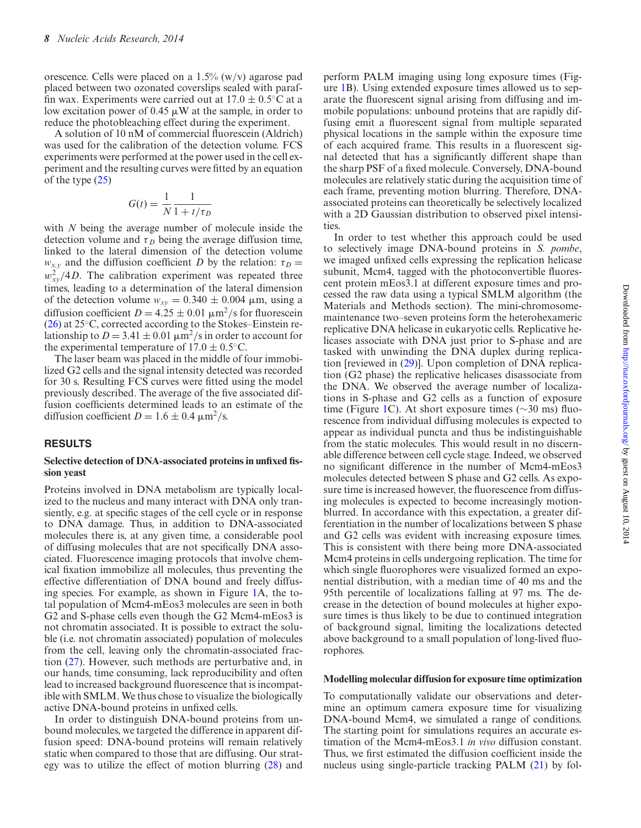orescence. Cells were placed on a 1.5% (w/v) agarose pad placed between two ozonated coverslips sealed with paraffin wax. Experiments were carried out at  $17.0 \pm 0.5$ °C at a low excitation power of 0.45  $\mu$ W at the sample, in order to reduce the photobleaching effect during the experiment.

A solution of 10 nM of commercial fluorescein (Aldrich) was used for the calibration of the detection volume. FCS experiments were performed at the power used in the cell experiment and the resulting curves were itted by an equation of the type [\(25\)](#page-10-0)

$$
G(t) = \frac{1}{N} \frac{1}{1 + t/\tau_D}
$$

with *N* being the average number of molecule inside the detection volume and  $\tau_D$  being the average diffusion time, linked to the lateral dimension of the detection volume  $w_{x,y}$  and the diffusion coefficient *D* by the relation:  $\tau_D =$  $w_{xy}^2/4D$ . The calibration experiment was repeated three times, leading to a determination of the lateral dimension of the detection volume  $w_{xy} = 0.340 \pm 0.004$   $\mu$ m, using a diffusion coefficient  $D = 4.25 \pm 0.01 \mu m^2/s$  for fluorescein [\(26\)](#page-10-0) at 25◦C, corrected according to the Stokes–Einstein relationship to  $D = 3.41 \pm 0.01 \mu m^2/s$  in order to account for the experimental temperature of  $17.0 \pm 0.5$ °C.

The laser beam was placed in the middle of four immobilized G2 cells and the signal intensity detected was recorded for 30 s. Resulting FCS curves were itted using the model previously described. The average of the ive associated diffusion coeficients determined leads to an estimate of the diffusion coefficient  $D = 1.6 \pm 0.4 \text{ }\mu\text{m}^2/\text{s}.$ 

# **RESULTS**

#### Selective detection of DNA-associated proteins in unfixed fis**sion yeast**

Proteins involved in DNA metabolism are typically localized to the nucleus and many interact with DNA only transiently, e.g. at specific stages of the cell cycle or in response to DNA damage. Thus, in addition to DNA-associated molecules there is, at any given time, a considerable pool of diffusing molecules that are not specifically DNA associated. Fluorescence imaging protocols that involve chemical fixation immobilize all molecules, thus preventing the effective differentiation of DNA bound and freely diffusing species. For example, as shown in Figure [1A](#page-3-0), the total population of Mcm4-mEos3 molecules are seen in both G2 and S-phase cells even though the G2 Mcm4-mEos3 is not chromatin associated. It is possible to extract the soluble (i.e. not chromatin associated) population of molecules from the cell, leaving only the chromatin-associated fraction [\(27\)](#page-10-0). However, such methods are perturbative and, in our hands, time consuming, lack reproducibility and often lead to increased background fluorescence that is incompatible with SMLM. We thus chose to visualize the biologically active DNA-bound proteins in unfixed cells.

In order to distinguish DNA-bound proteins from unbound molecules, we targeted the difference in apparent diffusion speed: DNA-bound proteins will remain relatively static when compared to those that are diffusing. Our strategy was to utilize the effect of motion blurring [\(28\)](#page-10-0) and

perform PALM imaging using long exposure times (Figure [1B](#page-3-0)). Using extended exposure times allowed us to separate the fluorescent signal arising from diffusing and immobile populations: unbound proteins that are rapidly diffusing emit a fluorescent signal from multiple separated physical locations in the sample within the exposure time of each acquired frame. This results in a fluorescent signal detected that has a significantly different shape than the sharp PSF of a fixed molecule. Conversely, DNA-bound molecules are relatively static during the acquisition time of each frame, preventing motion blurring. Therefore, DNAassociated proteins can theoretically be selectively localized with a 2D Gaussian distribution to observed pixel intensities.

In order to test whether this approach could be used to selectively image DNA-bound proteins in *S. pombe*, we imaged unfixed cells expressing the replication helicase subunit, Mcm4, tagged with the photoconvertible fluorescent protein mEos3.1 at different exposure times and processed the raw data using a typical SMLM algorithm (the Materials and Methods section). The mini-chromosomemaintenance two–seven proteins form the heterohexameric replicative DNA helicase in eukaryotic cells. Replicative helicases associate with DNA just prior to S-phase and are tasked with unwinding the DNA duplex during replication [reviewed in [\(29\)](#page-10-0)]. Upon completion of DNA replication (G2 phase) the replicative helicases disassociate from the DNA. We observed the average number of localizations in S-phase and G2 cells as a function of exposure time (Figure [1C](#page-3-0)). At short exposure times ( $\sim$ 30 ms) fluorescence from individual diffusing molecules is expected to appear as individual puncta and thus be indistinguishable from the static molecules. This would result in no discernable difference between cell cycle stage. Indeed, we observed no signiicant difference in the number of Mcm4-mEos3 molecules detected between S phase and G2 cells. As exposure time is increased however, the fluorescence from diffusing molecules is expected to become increasingly motionblurred. In accordance with this expectation, a greater differentiation in the number of localizations between S phase and G2 cells was evident with increasing exposure times. This is consistent with there being more DNA-associated Mcm4 proteins in cells undergoing replication. The time for which single fluorophores were visualized formed an exponential distribution, with a median time of 40 ms and the 95th percentile of localizations falling at 97 ms. The decrease in the detection of bound molecules at higher exposure times is thus likely to be due to continued integration of background signal, limiting the localizations detected above background to a small population of long-lived fluorophores.

#### **Modelling molecular diffusion for exposure time optimization**

To computationally validate our observations and determine an optimum camera exposure time for visualizing DNA-bound Mcm4, we simulated a range of conditions. The starting point for simulations requires an accurate estimation of the Mcm4-mEos3.1 *in vivo* diffusion constant. Thus, we first estimated the diffusion coefficient inside the nucleus using single-particle tracking PALM [\(21\)](#page-10-0) by fol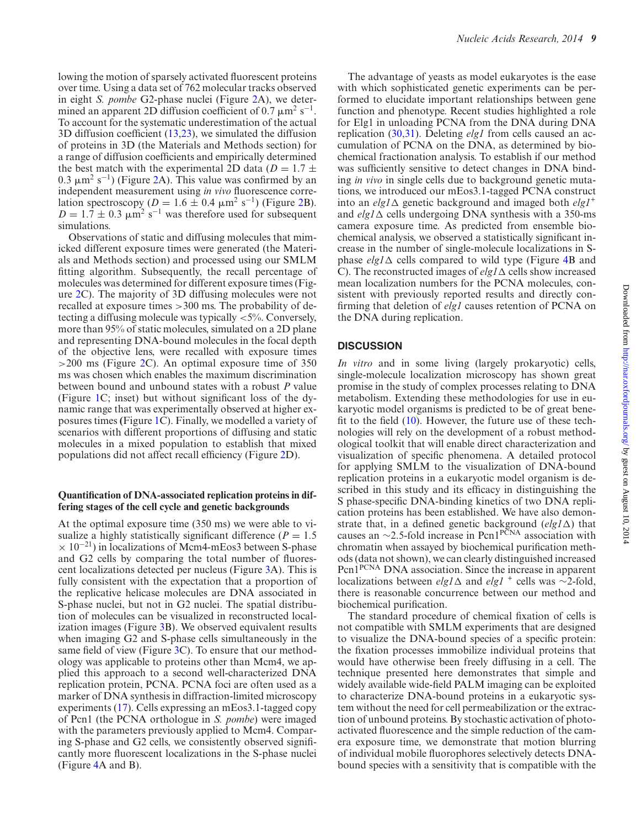<span id="page-9-0"></span>lowing the motion of sparsely activated fluorescent proteins over time. Using a data set of 762 molecular tracks observed in eight *S. pombe* G2-phase nuclei (Figure [2A](#page-4-0)), we determined an apparent 2D diffusion coefficient of 0.7  $\mu$ m<sup>2</sup> s<sup>-1</sup>. To account for the systematic underestimation of the actual 3D diffusion coeficient (13[,23\)](#page-10-0), we simulated the diffusion of proteins in 3D (the Materials and Methods section) for a range of diffusion coeficients and empirically determined the best match with the experimental 2D data ( $D = 1.7 \pm$  $(0.3 \mu m^2 s^{-1})$  (Figure [2A](#page-4-0)). This value was confirmed by an independent measurement using *in vivo* fluorescence correlation spectroscopy ( $D = 1.6 \pm 0.4 \mu m^2 s^{-1}$ ) (Figure [2B](#page-4-0)).  $D = 1.7 \pm 0.3 \mu m^2 s^{-1}$  was therefore used for subsequent simulations.

Observations of static and diffusing molecules that mimicked different exposure times were generated (the Materials and Methods section) and processed using our SMLM fitting algorithm. Subsequently, the recall percentage of molecules was determined for different exposure times (Figure [2C](#page-4-0)). The majority of 3D diffusing molecules were not recalled at exposure times >300 ms. The probability of detecting a diffusing molecule was typically <5%. Conversely, more than 95% of static molecules, simulated on a 2D plane and representing DNA-bound molecules in the focal depth of the objective lens, were recalled with exposure times  $>200$  ms (Figure [2C](#page-4-0)). An optimal exposure time of 350 ms was chosen which enables the maximum discrimination between bound and unbound states with a robust *P* value (Figure [1C](#page-3-0); inset) but without significant loss of the dynamic range that was experimentally observed at higher exposures times **(**Figure [1C](#page-3-0)). Finally, we modelled a variety of scenarios with different proportions of diffusing and static molecules in a mixed population to establish that mixed populations did not affect recall eficiency (Figure [2D](#page-4-0)).

#### Quantification of DNA-associated replication proteins in dif**fering stages of the cell cycle and genetic backgrounds**

At the optimal exposure time (350 ms) we were able to visualize a highly statistically significant difference ( $P = 1.5$ )  $\times$  10<sup>-21</sup>) in localizations of Mcm4-mEos3 between S-phase and G2 cells by comparing the total number of fluorescent localizations detected per nucleus (Figure [3A](#page-5-0)). This is fully consistent with the expectation that a proportion of the replicative helicase molecules are DNA associated in S-phase nuclei, but not in G2 nuclei. The spatial distribution of molecules can be visualized in reconstructed localization images (Figure [3B](#page-5-0)). We observed equivalent results when imaging G2 and S-phase cells simultaneously in the same field of view (Figure  $3C$ ). To ensure that our methodology was applicable to proteins other than Mcm4, we applied this approach to a second well-characterized DNA replication protein, PCNA. PCNA foci are often used as a marker of DNA synthesis in diffraction-limited microscopy experiments (17). Cells expressing an mEos3.1-tagged copy of Pcn1 (the PCNA orthologue in *S. pombe*) were imaged with the parameters previously applied to Mcm4. Comparing S-phase and G2 cells, we consistently observed significantly more fluorescent localizations in the S-phase nuclei (Figure [4A](#page-6-0) and B).

The advantage of yeasts as model eukaryotes is the ease with which sophisticated genetic experiments can be performed to elucidate important relationships between gene function and phenotype. Recent studies highlighted a role for Elg1 in unloading PCNA from the DNA during DNA replication [\(30,31\)](#page-10-0). Deleting *elg1* from cells caused an accumulation of PCNA on the DNA, as determined by biochemical fractionation analysis. To establish if our method was suficiently sensitive to detect changes in DNA binding *in vivo* in single cells due to background genetic mutations, we introduced our mEos3.1-tagged PCNA construct into an  $\ell \ell q I \Delta$  genetic background and imaged both  $\ell \ell q I^+$ and  $elg/\Delta$  cells undergoing DNA synthesis with a 350-ms camera exposure time. As predicted from ensemble biochemical analysis, we observed a statistically significant increase in the number of single-molecule localizations in Sphase  $elg1\Delta$  cells compared to wild type (Figure [4B](#page-6-0) and C). The reconstructed images of  $elg1\Delta$  cells show increased mean localization numbers for the PCNA molecules, consistent with previously reported results and directly conirming that deletion of *elg1* causes retention of PCNA on the DNA during replication.

# **DISCUSSION**

*In vitro* and in some living (largely prokaryotic) cells, single-molecule localization microscopy has shown great promise in the study of complex processes relating to DNA metabolism. Extending these methodologies for use in eukaryotic model organisms is predicted to be of great benefit to the field  $(10)$ . However, the future use of these technologies will rely on the development of a robust methodological toolkit that will enable direct characterization and visualization of specific phenomena. A detailed protocol for applying SMLM to the visualization of DNA-bound replication proteins in a eukaryotic model organism is described in this study and its eficacy in distinguishing the S phase-specific DNA-binding kinetics of two DNA replication proteins has been established. We have also demonstrate that, in a defined genetic background  $\left(\frac{elg}{\Delta}\right)$  that causes an  $\sim$ 2.5-fold increase in Pcn1<sup>PCNA</sup> association with chromatin when assayed by biochemical purification methods (data not shown), we can clearly distinguished increased Pcn1<sup>PCNA</sup> DNA association. Since the increase in apparent localizations between *elg1* ∆ and *elg1* <sup>+</sup> cells was ∼2-fold, there is reasonable concurrence between our method and biochemical purification.

The standard procedure of chemical fixation of cells is not compatible with SMLM experiments that are designed to visualize the DNA-bound species of a specific protein: the ixation processes immobilize individual proteins that would have otherwise been freely diffusing in a cell. The technique presented here demonstrates that simple and widely available wide-field PALM imaging can be exploited to characterize DNA-bound proteins in a eukaryotic system without the need for cell permeabilization or the extraction of unbound proteins. By stochastic activation of photoactivated fluorescence and the simple reduction of the camera exposure time, we demonstrate that motion blurring of individual mobile luorophores selectively detects DNAbound species with a sensitivity that is compatible with the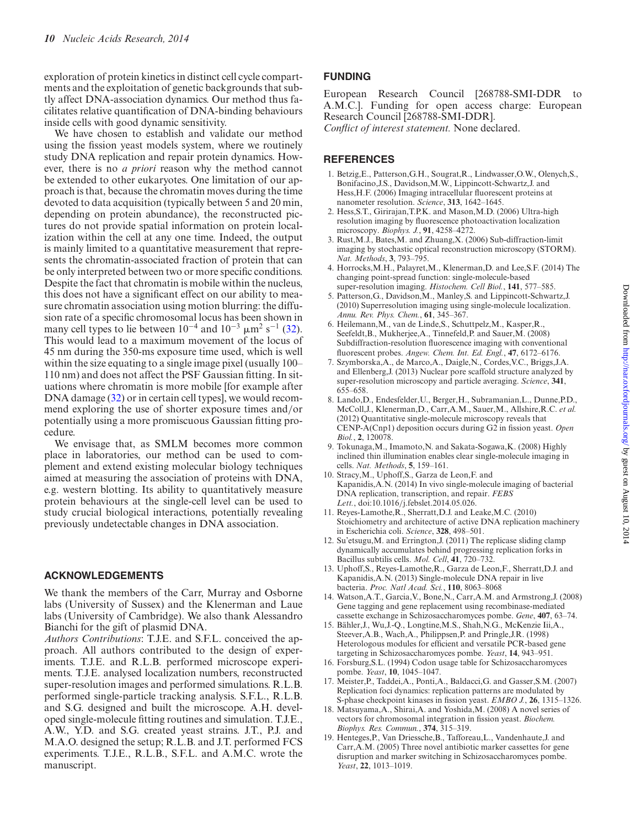<span id="page-10-0"></span>exploration of protein kinetics in distinct cell cycle compartments and the exploitation of genetic backgrounds that subtly affect DNA-association dynamics. Our method thus facilitates relative quantification of DNA-binding behaviours inside cells with good dynamic sensitivity.

We have chosen to establish and validate our method using the fission yeast models system, where we routinely study DNA replication and repair protein dynamics. However, there is no *a priori* reason why the method cannot be extended to other eukaryotes. One limitation of our approach is that, because the chromatin moves during the time devoted to data acquisition (typically between 5 and 20 min, depending on protein abundance), the reconstructed pictures do not provide spatial information on protein localization within the cell at any one time. Indeed, the output is mainly limited to a quantitative measurement that represents the chromatin-associated fraction of protein that can be only interpreted between two or more specific conditions. Despite the fact that chromatin is mobile within the nucleus, this does not have a significant effect on our ability to measure chromatin association using motion blurring: the diffusion rate of a speciic chromosomal locus has been shown in many cell types to lie between  $10^{-4}$  and  $10^{-3}$   $\mu$ m<sup>2</sup> s<sup>-1</sup> (32). This would lead to a maximum movement of the locus of 45 nm during the 350-ms exposure time used, which is well within the size equating to a single image pixel (usually 100– 110 nm) and does not affect the PSF Gaussian fitting. In situations where chromatin is more mobile [for example after DNA damage (32) or in certain cell types], we would recommend exploring the use of shorter exposure times and/or potentially using a more promiscuous Gaussian itting procedure.

We envisage that, as SMLM becomes more common place in laboratories, our method can be used to complement and extend existing molecular biology techniques aimed at measuring the association of proteins with DNA, e.g. western blotting. Its ability to quantitatively measure protein behaviours at the single-cell level can be used to study crucial biological interactions, potentially revealing previously undetectable changes in DNA association.

# **ACKNOWLEDGEMENTS**

We thank the members of the Carr, Murray and Osborne labs (University of Sussex) and the Klenerman and Laue labs (University of Cambridge). We also thank Alessandro Bianchi for the gift of plasmid DNA.

*Authors Contributions*: T.J.E. and S.F.L. conceived the approach. All authors contributed to the design of experiments. T.J.E. and R.L.B. performed microscope experiments. T.J.E. analysed localization numbers, reconstructed super-resolution images and performed simulations. R.L.B. performed single-particle tracking analysis. S.F.L., R.L.B. and S.G. designed and built the microscope. A.H. developed single-molecule itting routines and simulation. T.J.E., A.W., Y.D. and S.G. created yeast strains. J.T., P.J. and M.A.O. designed the setup; R.L.B. and J.T. performed FCS experiments. T.J.E., R.L.B., S.F.L. and A.M.C. wrote the manuscript.

# **FUNDING**

European Research Council [268788-SMI-DDR to A.M.C.]. Funding for open access charge: European Research Council [268788-SMI-DDR].

*Conlict of interest statement.* None declared.

# **REFERENCES**

- 1. Betzig,E., Patterson,G.H., Sougrat,R., Lindwasser,O.W., Olenych,S., Bonifacino,J.S., Davidson,M.W., Lippincott-Schwartz,J. and Hess, H.F. (2006) Imaging intracellular fluorescent proteins at nanometer resolution. *Science*, **313**, 1642–1645.
- 2. Hess,S.T., Girirajan,T.P.K. and Mason,M.D. (2006) Ultra-high resolution imaging by luorescence photoactivation localization microscopy. *Biophys. J.*, **91**, 4258–4272.
- 3. Rust,M.J., Bates,M. and Zhuang,X. (2006) Sub-diffraction-limit imaging by stochastic optical reconstruction microscopy (STORM). *Nat. Methods*, **3**, 793–795.
- 4. Horrocks,M.H., Palayret,M., Klenerman,D. and Lee,S.F. (2014) The changing point-spread function: single-molecule-based super-resolution imaging. *Histochem. Cell Biol.*, **141**, 577–585.
- 5. Patterson,G., Davidson,M., Manley,S. and Lippincott-Schwartz,J. (2010) Superresolution imaging using single-molecule localization. *Annu. Rev. Phys. Chem.*, **61**, 345–367.
- 6. Heilemann,M., van de Linde,S., Schuttpelz,M., Kasper,R., Seefeldt, B., Mukherjee, A., Tinnefeld, P. and Sauer, M. (2008) Subdiffraction-resolution fluorescence imaging with conventional luorescent probes. *Angew. Chem. Int. Ed. Engl.*, **47**, 6172–6176.
- 7. Szymborska,A., de Marco,A., Daigle,N., Cordes,V.C., Briggs,J.A. and Ellenberg,J. (2013) Nuclear pore scaffold structure analyzed by super-resolution microscopy and particle averaging. *Science*, **341**, 655–658.
- 8. Lando,D., Endesfelder,U., Berger,H., Subramanian,L., Dunne,P.D., McColl,J., Klenerman,D., Carr,A.M., Sauer,M., Allshire,R.C. *et al.* (2012) Quantitative single-molecule microscopy reveals that CENP-A(Cnp1) deposition occurs during G2 in ission yeast. *Open Biol.*, **2**, 120078.
- 9. Tokunaga,M., Imamoto,N. and Sakata-Sogawa,K. (2008) Highly inclined thin illumination enables clear single-molecule imaging in cells. *Nat. Methods*, **5**, 159–161.
- 10. Stracy,M., Uphoff,S., Garza de Leon,F. and Kapanidis,A.N. (2014) In vivo single-molecule imaging of bacterial DNA replication, transcription, and repair. *FEBS Lett.*, doi:10.1016/j.febslet.2014.05.026.
- 11. Reyes-Lamothe,R., Sherratt,D.J. and Leake,M.C. (2010) Stoichiometry and architecture of active DNA replication machinery in Escherichia coli. *Science*, **328**, 498–501.
- 12. Su'etsugu,M. and Errington,J. (2011) The replicase sliding clamp dynamically accumulates behind progressing replication forks in Bacillus subtilis cells. *Mol. Cell*, **41**, 720–732.
- 13. Uphoff,S., Reyes-Lamothe,R., Garza de Leon,F., Sherratt,D.J. and Kapanidis,A.N. (2013) Single-molecule DNA repair in live bacteria. *Proc. Natl Acad. Sci.*, **110**, 8063–8068
- 14. Watson,A.T., Garcia,V., Bone,N., Carr,A.M. and Armstrong,J. (2008) Gene tagging and gene replacement using recombinase-mediated cassette exchange in Schizosaccharomyces pombe. *Gene*, **407**, 63–74.
- 15. Bahler,J., Wu,J.-Q., Longtine,M.S., Shah,N.G., McKenzie Iii,A., ¨ Steever,A.B., Wach,A., Philippsen,P. and Pringle,J.R. (1998) Heterologous modules for eficient and versatile PCR-based gene targeting in Schizosaccharomyces pombe. *Yeast*, **14**, 943–951.
- 16. Forsburg,S.L. (1994) Codon usage table for Schizosaccharomyces pombe. *Yeast*, **10**, 1045–1047.
- 17. Meister,P., Taddei,A., Ponti,A., Baldacci,G. and Gasser,S.M. (2007) Replication foci dynamics: replication patterns are modulated by S-phase checkpoint kinases in ission yeast. *EMBO J.*, **26**, 1315–1326.
- 18. Matsuyama,A., Shirai,A. and Yoshida,M. (2008) A novel series of vectors for chromosomal integration in ission yeast. *Biochem. Biophys. Res. Commun.*, **374**, 315–319.
- 19. Henteges,P., Van Driessche,B., Tafforeau,L., Vandenhaute,J. and Carr,A.M. (2005) Three novel antibiotic marker cassettes for gene disruption and marker switching in Schizosaccharomyces pombe. *Yeast*, **22**, 1013–1019.